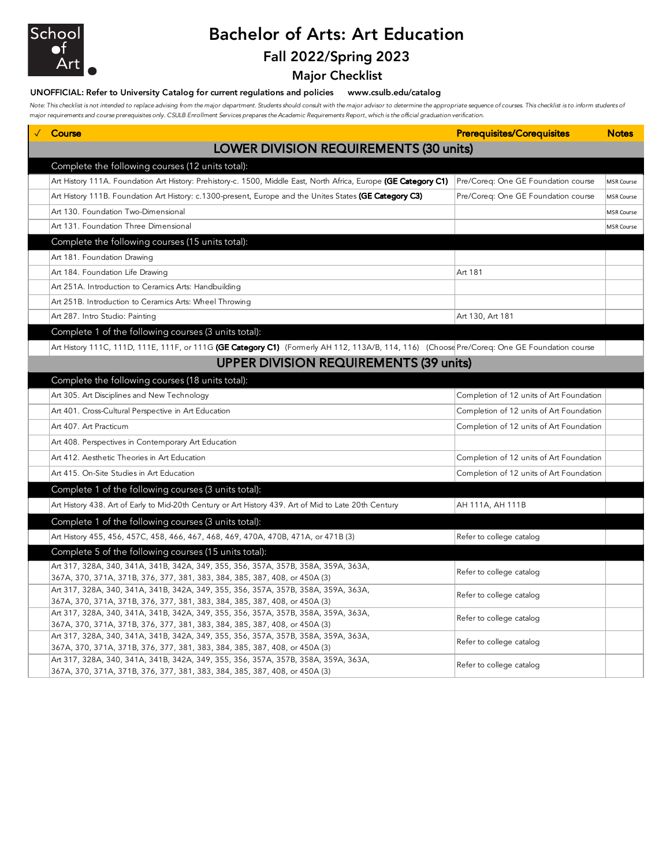

# Bachelor of Arts: Art Education Fall 2022/Spring 2023

Major Checklist

### UNOFFICIAL: Refer to University Catalog for current regulations and policies www.csulb.edu/catalog

Note: This checklist is not intended to replace advising from the major department. Students should consult with the major advisor to determine the appropriate sequence of courses. This checklist is to inform students of *major requirements and course prerequisites only. CSULB Enrollment Services prepares the Academic Requirements Report, which is the official graduation verification.*

|                                                  | $\sqrt{ }$ Course                                                                                                                                                | <b>Prerequisites/Corequisites</b>        | <b>Notes</b>      |  |  |  |  |
|--------------------------------------------------|------------------------------------------------------------------------------------------------------------------------------------------------------------------|------------------------------------------|-------------------|--|--|--|--|
|                                                  | LOWER DIVISION REQUIREMENTS (30 units)                                                                                                                           |                                          |                   |  |  |  |  |
| Complete the following courses (12 units total): |                                                                                                                                                                  |                                          |                   |  |  |  |  |
|                                                  | Art History 111A. Foundation Art History: Prehistory-c. 1500, Middle East, North Africa, Europe (GE Category C1)                                                 | Pre/Coreq: One GE Foundation course      | MSR Course        |  |  |  |  |
|                                                  | Art History 111B. Foundation Art History: c.1300-present, Europe and the Unites States (GE Category C3)                                                          | Pre/Coreq: One GE Foundation course      | <b>MSR Course</b> |  |  |  |  |
|                                                  | Art 130. Foundation Two-Dimensional                                                                                                                              |                                          | <b>MSR Course</b> |  |  |  |  |
|                                                  | Art 131. Foundation Three Dimensional                                                                                                                            |                                          | <b>MSR Course</b> |  |  |  |  |
|                                                  | Complete the following courses (15 units total):                                                                                                                 |                                          |                   |  |  |  |  |
|                                                  | Art 181. Foundation Drawing                                                                                                                                      |                                          |                   |  |  |  |  |
|                                                  |                                                                                                                                                                  |                                          |                   |  |  |  |  |
|                                                  | Art 184. Foundation Life Drawing                                                                                                                                 | Art 181                                  |                   |  |  |  |  |
|                                                  | Art 251A. Introduction to Ceramics Arts: Handbuilding                                                                                                            |                                          |                   |  |  |  |  |
|                                                  | Art 251B. Introduction to Ceramics Arts: Wheel Throwing                                                                                                          |                                          |                   |  |  |  |  |
|                                                  | Art 287. Intro Studio: Painting                                                                                                                                  | Art 130, Art 181                         |                   |  |  |  |  |
|                                                  | Complete 1 of the following courses (3 units total):                                                                                                             |                                          |                   |  |  |  |  |
|                                                  | Art History 111C, 111D, 111E, 111F, or 111G (GE Category C1) (Formerly AH 112, 113A/B, 114, 116) (Choose Pre/Coreq: One GE Foundation course                     |                                          |                   |  |  |  |  |
| <b>UPPER DIVISION REQUIREMENTS (39 units)</b>    |                                                                                                                                                                  |                                          |                   |  |  |  |  |
|                                                  | Complete the following courses (18 units total):                                                                                                                 |                                          |                   |  |  |  |  |
|                                                  | Art 305. Art Disciplines and New Technology                                                                                                                      | Completion of 12 units of Art Foundation |                   |  |  |  |  |
|                                                  | Art 401. Cross-Cultural Perspective in Art Education                                                                                                             | Completion of 12 units of Art Foundation |                   |  |  |  |  |
|                                                  | Art 407. Art Practicum                                                                                                                                           | Completion of 12 units of Art Foundation |                   |  |  |  |  |
|                                                  | Art 408. Perspectives in Contemporary Art Education                                                                                                              |                                          |                   |  |  |  |  |
|                                                  | Art 412. Aesthetic Theories in Art Education                                                                                                                     | Completion of 12 units of Art Foundation |                   |  |  |  |  |
|                                                  | Art 415. On-Site Studies in Art Education                                                                                                                        | Completion of 12 units of Art Foundation |                   |  |  |  |  |
|                                                  | Complete 1 of the following courses (3 units total):                                                                                                             |                                          |                   |  |  |  |  |
|                                                  | Art History 438. Art of Early to Mid-20th Century or Art History 439. Art of Mid to Late 20th Century                                                            | AH 111A, AH 111B                         |                   |  |  |  |  |
|                                                  | Complete 1 of the following courses (3 units total):                                                                                                             |                                          |                   |  |  |  |  |
|                                                  | Art History 455, 456, 457C, 458, 466, 467, 468, 469, 470A, 470B, 471A, or 471B (3)                                                                               | Refer to college catalog                 |                   |  |  |  |  |
|                                                  | Complete 5 of the following courses (15 units total):                                                                                                            |                                          |                   |  |  |  |  |
|                                                  | Art 317, 328A, 340, 341A, 341B, 342A, 349, 355, 356, 357A, 357B, 358A, 359A, 363A,                                                                               |                                          |                   |  |  |  |  |
|                                                  | 367A, 370, 371A, 371B, 376, 377, 381, 383, 384, 385, 387, 408, or 450A (3)                                                                                       | Refer to college catalog                 |                   |  |  |  |  |
|                                                  | Art 317, 328A, 340, 341A, 341B, 342A, 349, 355, 356, 357A, 357B, 358A, 359A, 363A,<br>367A, 370, 371A, 371B, 376, 377, 381, 383, 384, 385, 387, 408, or 450A (3) | Refer to college catalog                 |                   |  |  |  |  |
|                                                  | Art 317, 328A, 340, 341A, 341B, 342A, 349, 355, 356, 357A, 357B, 358A, 359A, 363A,                                                                               |                                          |                   |  |  |  |  |
|                                                  | 367A, 370, 371A, 371B, 376, 377, 381, 383, 384, 385, 387, 408, or 450A (3)                                                                                       | Refer to college catalog                 |                   |  |  |  |  |
|                                                  | Art 317, 328A, 340, 341A, 341B, 342A, 349, 355, 356, 357A, 357B, 358A, 359A, 363A,                                                                               |                                          |                   |  |  |  |  |
|                                                  | 367A, 370, 371A, 371B, 376, 377, 381, 383, 384, 385, 387, 408, or 450A (3)                                                                                       | Refer to college catalog                 |                   |  |  |  |  |
|                                                  | Art 317, 328A, 340, 341A, 341B, 342A, 349, 355, 356, 357A, 357B, 358A, 359A, 363A,                                                                               | Refer to college catalog                 |                   |  |  |  |  |
|                                                  | 367A, 370, 371A, 371B, 376, 377, 381, 383, 384, 385, 387, 408, or 450A (3)                                                                                       |                                          |                   |  |  |  |  |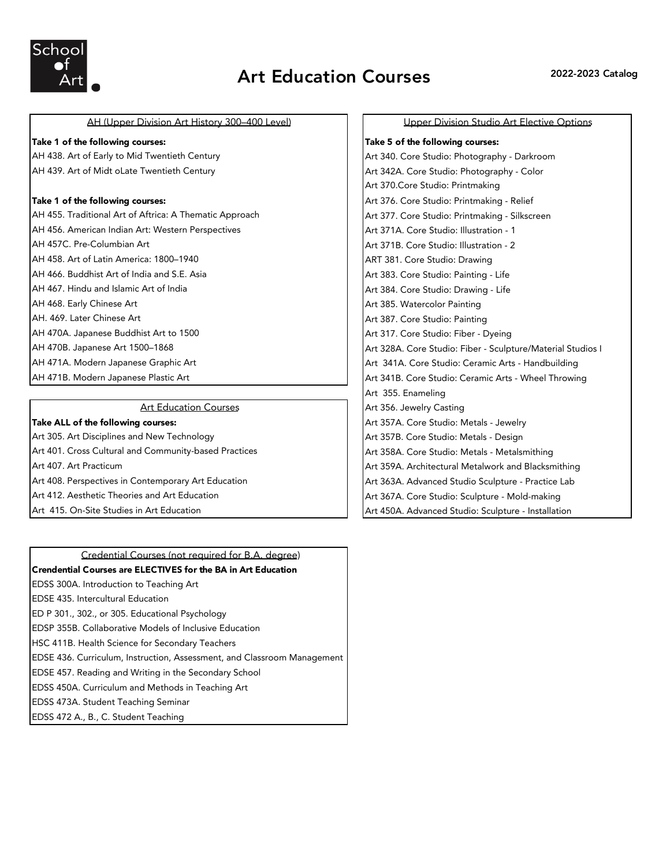

# AH (Upper Division Art History 300-400 Level) | | Upper Division Studio Art Elective Options

### Take 1 of the following courses: Take 1 of the following courses: Take 5 of the following courses:

AH 439. Art of Midt oLate Twentieth Century Art 342A. Core Studio: Photography - Color

AH 455. Traditional Art of Aftrica: A Thematic Approach Art 377. Core Studio: Printmaking - Silkscreen AH 456. American Indian Art: Western Perspectives Art 371A. Core Studio: Illustration - 1 AH 457C. Pre-Columbian Art Art 371B. Core Studio: Illustration - 2 AH 458. Art of Latin America: 1800–1940 ART 381. Core Studio: Drawing AH 466. Buddhist Art of India and S.E. Asia Art 383. Core Studio: Painting - Life AH 467. Hindu and Islamic Art of India Art 384. Core Studio: Drawing - Life AH 468. Early Chinese Art **Art 385. Watercolor Painting** AH. 469. Later Chinese Art **Art 387. Core Studio: Painting** AH 470A. Japanese Buddhist Art to 1500 Art 317. Core Studio: Fiber - Dyeing AH 471A. Modern Japanese Graphic Art Art Art 341A. Core Studio: Ceramic Arts - Handbuilding AH 471B. Modern Japanese Plastic Art Art 341B. Core Studio: Ceramic Arts - Wheel Throwing

### Art Education Courses

Art 305. Art Disciplines and New Technology Art 357B. Core Studio: Metals - Design Art 401. Cross Cultural and Community-based Practices **Art 358A. Core Studio: Metals - Metalsmithing** Art 407. Art Practicum Art 359A. Architectural Metalwork and Blacksmithing Art 408. Perspectives in Contemporary Art Education Art Art 363A. Advanced Studio Sculpture - Practice Lab Art 412. Aesthetic Theories and Art Education Art 367A. Core Studio: Sculpture - Mold-making Art 415. On-Site Studies in Art Education Art Art 450A. Advanced Studio: Sculpture - Installation

## Credential Courses (not required for B.A. degree)

## Crendential Courses are ELECTIVES for the BA in Art Education

- EDSS 300A. Introduction to Teaching Art
- EDSE 435. Intercultural Education
- ED P 301., 302., or 305. Educational Psychology
- EDSP 355B. Collaborative Models of Inclusive Education
- HSC 411B. Health Science for Secondary Teachers
- EDSE 436. Curriculum, Instruction, Assessment, and Classroom Management
- EDSE 457. Reading and Writing in the Secondary School
- EDSS 450A. Curriculum and Methods in Teaching Art
- EDSS 473A. Student Teaching Seminar
- EDSS 472 A., B., C. Student Teaching

AH 438. Art of Early to Mid Twentieth Century Art 340. Core Studio: Photography - Darkroom Art 370.Core Studio: Printmaking Take 1 of the following courses: Art 376. Core Studio: Printmaking - Relief AH 470B. Japanese Art 1500–1868 Art 328A. Core Studio: Fiber - Sculpture/Material Studios I Art 355. Enameling Art 356. Jewelry Casting Take ALL of the following courses: Art 357A. Core Studio: Metals - Jewelry